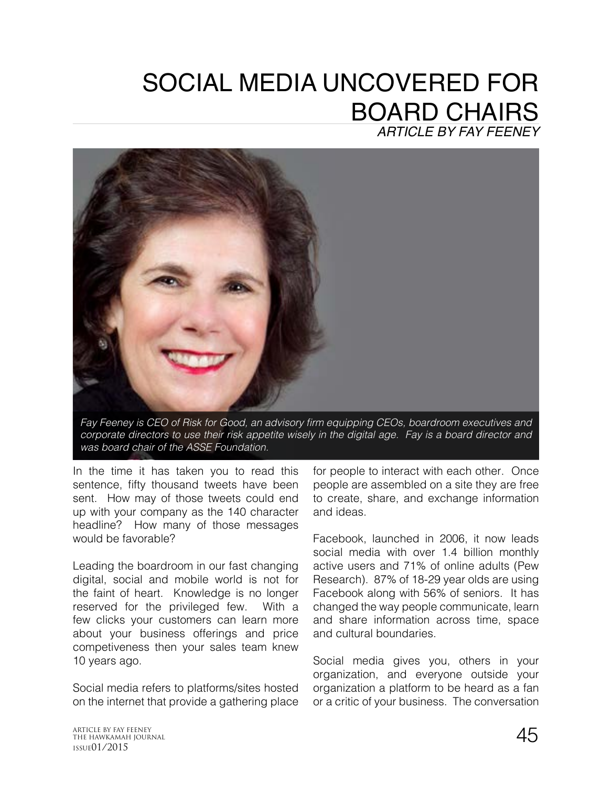## SOCIAL MEDIA UNCOVERED FOR BOARD CHAIRS *ARTICLE BY FAY FEENEY*



Fay Feeney is CEO of Risk for Good, an advisory firm equipping CEOs, boardroom executives and *corporate directors to use their risk appetite wisely in the digital age. Fay is a board director and was board chair of the ASSE Foundation.* 

In the time it has taken you to read this sentence, fifty thousand tweets have been sent. How may of those tweets could end up with your company as the 140 character headline? How many of those messages would be favorable?

Leading the boardroom in our fast changing digital, social and mobile world is not for the faint of heart. Knowledge is no longer reserved for the privileged few. With a few clicks your customers can learn more about your business offerings and price competiveness then your sales team knew 10 years ago.

Social media refers to platforms/sites hosted on the internet that provide a gathering place for people to interact with each other. Once people are assembled on a site they are free to create, share, and exchange information and ideas.

Facebook, launched in 2006, it now leads social media with over 1.4 billion monthly active users and 71% of online adults (Pew Research). 87% of 18-29 year olds are using Facebook along with 56% of seniors. It has changed the way people communicate, learn and share information across time, space and cultural boundaries.

Social media gives you, others in your organization, and everyone outside your organization a platform to be heard as a fan or a critic of your business. The conversation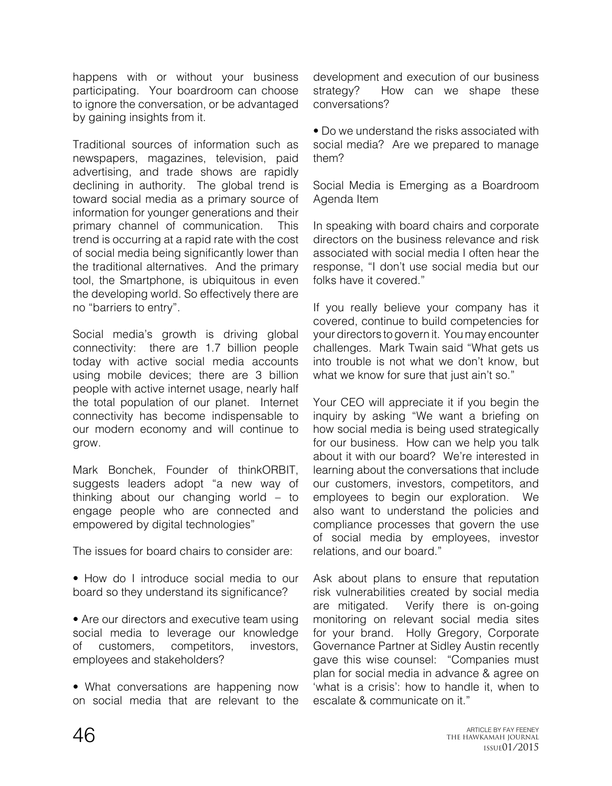happens with or without your business participating. Your boardroom can choose to ignore the conversation, or be advantaged by gaining insights from it.

Traditional sources of information such as newspapers, magazines, television, paid advertising, and trade shows are rapidly declining in authority. The global trend is toward social media as a primary source of information for younger generations and their primary channel of communication. This trend is occurring at a rapid rate with the cost of social media being significantly lower than the traditional alternatives. And the primary tool, the Smartphone, is ubiquitous in even the developing world. So effectively there are no "barriers to entry".

Social media's growth is driving global connectivity: there are 1.7 billion people today with active social media accounts using mobile devices; there are 3 billion people with active internet usage, nearly half the total population of our planet. Internet connectivity has become indispensable to our modern economy and will continue to grow.

Mark Bonchek, Founder of thinkORBIT, suggests leaders adopt "a new way of thinking about our changing world – to engage people who are connected and empowered by digital technologies"

The issues for board chairs to consider are:

- How do I introduce social media to our board so they understand its significance?
- Are our directors and executive team using social media to leverage our knowledge of customers, competitors, investors, employees and stakeholders?
- What conversations are happening now on social media that are relevant to the

development and execution of our business strategy? How can we shape these conversations?

• Do we understand the risks associated with social media? Are we prepared to manage them?

Social Media is Emerging as a Boardroom Agenda Item

In speaking with board chairs and corporate directors on the business relevance and risk associated with social media I often hear the response, "I don't use social media but our folks have it covered."

If you really believe your company has it covered, continue to build competencies for your directors to govern it. You may encounter challenges. Mark Twain said "What gets us into trouble is not what we don't know, but what we know for sure that just ain't so."

Your CEO will appreciate it if you begin the inquiry by asking "We want a briefing on how social media is being used strategically for our business. How can we help you talk about it with our board? We're interested in learning about the conversations that include our customers, investors, competitors, and employees to begin our exploration. We also want to understand the policies and compliance processes that govern the use of social media by employees, investor relations, and our board."

Ask about plans to ensure that reputation risk vulnerabilities created by social media are mitigated. Verify there is on-going monitoring on relevant social media sites for your brand. Holly Gregory, Corporate Governance Partner at Sidley Austin recently gave this wise counsel: "Companies must plan for social media in advance & agree on 'what is a crisis': how to handle it, when to escalate & communicate on it."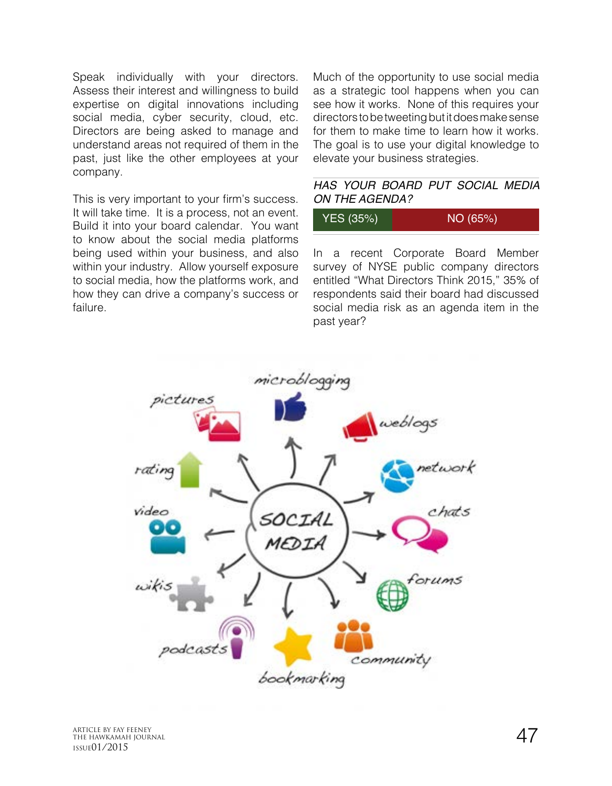Speak individually with your directors. Assess their interest and willingness to build expertise on digital innovations including social media, cyber security, cloud, etc. Directors are being asked to manage and understand areas not required of them in the past, just like the other employees at your company.

This is very important to your firm's success. It will take time. It is a process, not an event. Build it into your board calendar. You want to know about the social media platforms being used within your business, and also within your industry. Allow yourself exposure to social media, how the platforms work, and how they can drive a company's success or failure.

Much of the opportunity to use social media as a strategic tool happens when you can see how it works. None of this requires your directors to be tweeting but it does make sense for them to make time to learn how it works. The goal is to use your digital knowledge to elevate your business strategies.

## *HAS YOUR BOARD PUT SOCIAL MEDIA ON THE AGENDA?*

| YES (35%) | NO (65%) |
|-----------|----------|
|-----------|----------|

In a recent Corporate Board Member survey of NYSE public company directors entitled "What Directors Think 2015," 35% of respondents said their board had discussed social media risk as an agenda item in the past year?